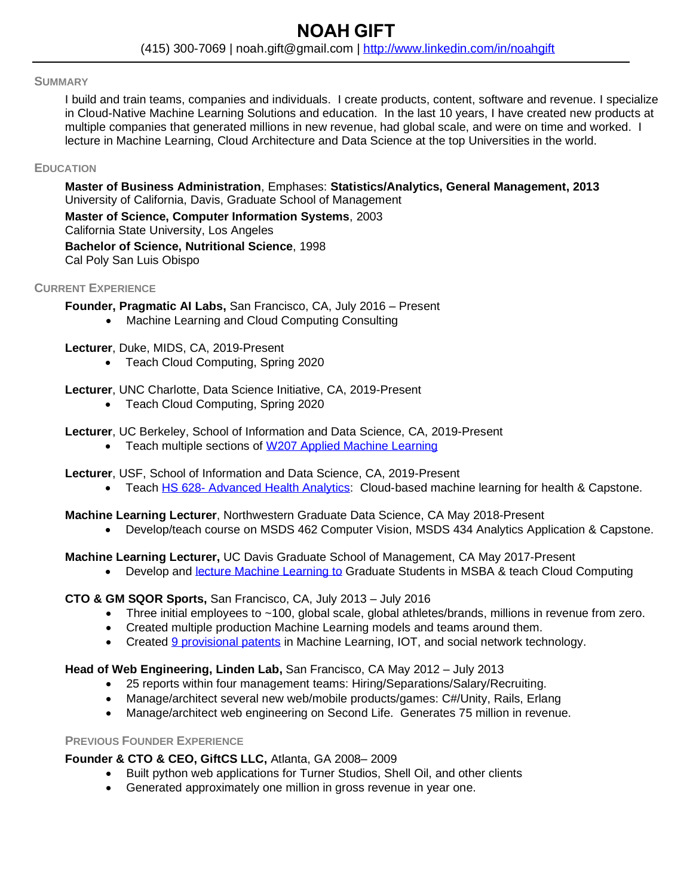#### **SUMMARY**

I build and train teams, companies and individuals. I create products, content, software and revenue. I specialize in Cloud-Native Machine Learning Solutions and education. In the last 10 years, I have created new products at multiple companies that generated millions in new revenue, had global scale, and were on time and worked. I lecture in Machine Learning, Cloud Architecture and Data Science at the top Universities in the world.

### **EDUCATION**

**Master of Business Administration**, Emphases: **Statistics/Analytics, General Management, 2013** University of California, Davis, Graduate School of Management **Master of Science, Computer Information Systems**, 2003 California State University, Los Angeles **Bachelor of Science, Nutritional Science**, 1998 Cal Poly San Luis Obispo

### **CURRENT EXPERIENCE**

**Founder, Pragmatic AI Labs,** San Francisco, CA, July 2016 – Present

• Machine Learning and Cloud Computing Consulting

**Lecturer**, Duke, MIDS, CA, 2019-Present

• Teach Cloud Computing, Spring 2020

**Lecturer**, UNC Charlotte, Data Science Initiative, CA, 2019-Present

- Teach Cloud Computing, Spring 2020
- **Lecturer**, UC Berkeley, School of Information and Data Science, CA, 2019-Present
	- Teach multiple sections of [W207 Applied Machine Learning](https://www.ischool.berkeley.edu/courses/datasci/207)

**Lecturer**, USF, School of Information and Data Science, CA, 2019-Present

• Teach HS 628- [Advanced Health Analytics:](https://catalog.usfca.edu/preview_course_nopop.php?catoid=2&coid=12524) Cloud-based machine learning for health & Capstone.

# **Machine Learning Lecturer**, Northwestern Graduate Data Science, CA May 2018-Present

• Develop/teach course on MSDS 462 Computer Vision, MSDS 434 Analytics Application & Capstone.

**Machine Learning Lecturer,** UC Davis Graduate School of Management, CA May 2017-Present

• Develop and [lecture Machine Learning](https://gsm.ucdavis.edu/faculty/noah-gift) to Graduate Students in MSBA & teach Cloud Computing

**CTO & GM SQOR Sports,** San Francisco, CA, July 2013 – July 2016

- Three initial employees to ~100, global scale, global athletes/brands, millions in revenue from zero.
- Created multiple production Machine Learning models and teams around them.
- Created [9 provisional patents](https://patents.google.com/patent/US20170246545A1/en) in Machine Learning, IOT, and social network technology.

# **Head of Web Engineering, Linden Lab,** San Francisco, CA May 2012 – July 2013

- 25 reports within four management teams: Hiring/Separations/Salary/Recruiting.
- Manage/architect several new web/mobile products/games: C#/Unity, Rails, Erlang
- Manage/architect web engineering on Second Life. Generates 75 million in revenue.

# **PREVIOUS FOUNDER EXPERIENCE**

# **Founder & CTO & CEO, GiftCS LLC,** Atlanta, GA 2008– 2009

- Built python web applications for Turner Studios, Shell Oil, and other clients
- Generated approximately one million in gross revenue in year one.